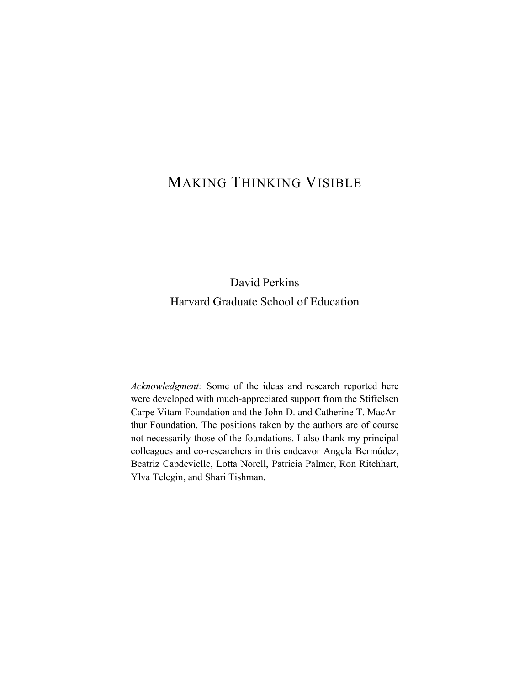## MAKING THINKING VISIBLE

## David Perkins Harvard Graduate School of Education

*Acknowledgment:* Some of the ideas and research reported here were developed with much-appreciated support from the Stiftelsen Carpe Vitam Foundation and the John D. and Catherine T. MacArthur Foundation. The positions taken by the authors are of course not necessarily those of the foundations. I also thank my principal colleagues and co-researchers in this endeavor Angela Bermúdez, Beatriz Capdevielle, Lotta Norell, Patricia Palmer, Ron Ritchhart, Ylva Telegin, and Shari Tishman.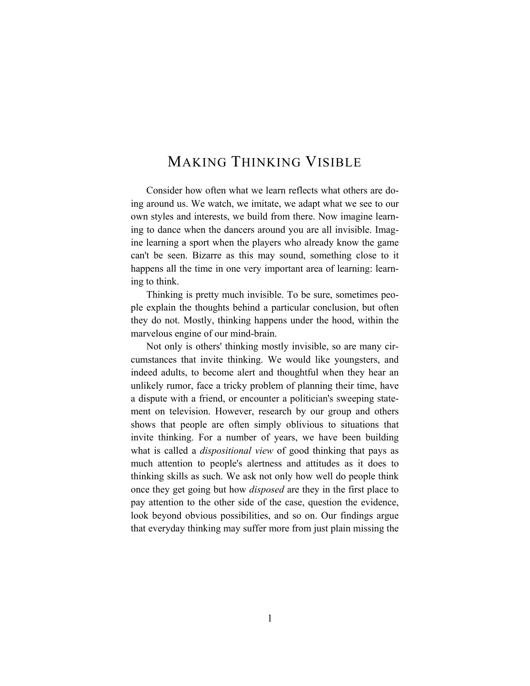## MAKING THINKING VISIBLE

Consider how often what we learn reflects what others are doing around us. We watch, we imitate, we adapt what we see to our own styles and interests, we build from there. Now imagine learning to dance when the dancers around you are all invisible. Imagine learning a sport when the players who already know the game can't be seen. Bizarre as this may sound, something close to it happens all the time in one very important area of learning: learning to think.

Thinking is pretty much invisible. To be sure, sometimes people explain the thoughts behind a particular conclusion, but often they do not. Mostly, thinking happens under the hood, within the marvelous engine of our mind-brain.

Not only is others' thinking mostly invisible, so are many circumstances that invite thinking. We would like youngsters, and indeed adults, to become alert and thoughtful when they hear an unlikely rumor, face a tricky problem of planning their time, have a dispute with a friend, or encounter a politician's sweeping statement on television. However, research by our group and others shows that people are often simply oblivious to situations that invite thinking. For a number of years, we have been building what is called a *dispositional view* of good thinking that pays as much attention to people's alertness and attitudes as it does to thinking skills as such. We ask not only how well do people think once they get going but how *disposed* are they in the first place to pay attention to the other side of the case, question the evidence, look beyond obvious possibilities, and so on. Our findings argue that everyday thinking may suffer more from just plain missing the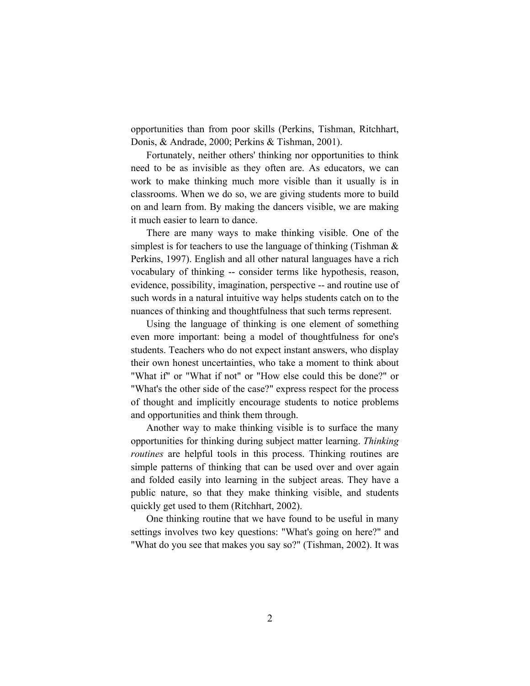opportunities than from poor skills (Perkins, Tishman, Ritchhart, Donis, & Andrade, 2000; Perkins & Tishman, 2001).

Fortunately, neither others' thinking nor opportunities to think need to be as invisible as they often are. As educators, we can work to make thinking much more visible than it usually is in classrooms. When we do so, we are giving students more to build on and learn from. By making the dancers visible, we are making it much easier to learn to dance.

There are many ways to make thinking visible. One of the simplest is for teachers to use the language of thinking (Tishman & Perkins, 1997). English and all other natural languages have a rich vocabulary of thinking -- consider terms like hypothesis, reason, evidence, possibility, imagination, perspective -- and routine use of such words in a natural intuitive way helps students catch on to the nuances of thinking and thoughtfulness that such terms represent.

Using the language of thinking is one element of something even more important: being a model of thoughtfulness for one's students. Teachers who do not expect instant answers, who display their own honest uncertainties, who take a moment to think about "What if" or "What if not" or "How else could this be done?" or "What's the other side of the case?" express respect for the process of thought and implicitly encourage students to notice problems and opportunities and think them through.

Another way to make thinking visible is to surface the many opportunities for thinking during subject matter learning. *Thinking routines* are helpful tools in this process. Thinking routines are simple patterns of thinking that can be used over and over again and folded easily into learning in the subject areas. They have a public nature, so that they make thinking visible, and students quickly get used to them (Ritchhart, 2002).

One thinking routine that we have found to be useful in many settings involves two key questions: "What's going on here?" and "What do you see that makes you say so?" (Tishman, 2002). It was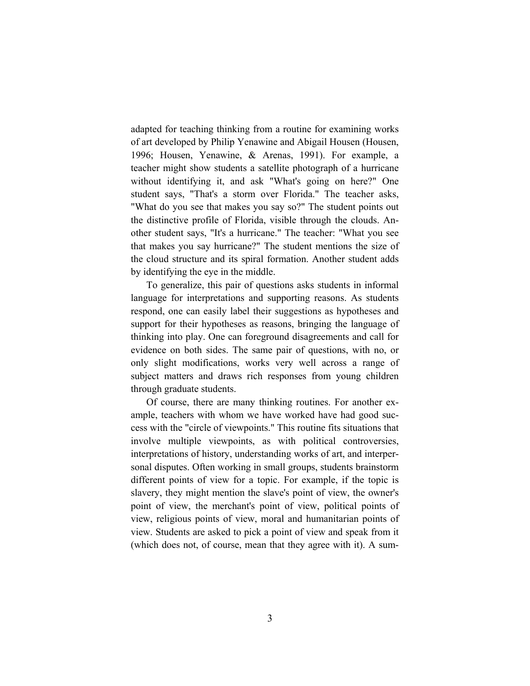adapted for teaching thinking from a routine for examining works of art developed by Philip Yenawine and Abigail Housen (Housen, 1996; Housen, Yenawine, & Arenas, 1991). For example, a teacher might show students a satellite photograph of a hurricane without identifying it, and ask "What's going on here?" One student says, "That's a storm over Florida." The teacher asks, "What do you see that makes you say so?" The student points out the distinctive profile of Florida, visible through the clouds. Another student says, "It's a hurricane." The teacher: "What you see that makes you say hurricane?" The student mentions the size of the cloud structure and its spiral formation. Another student adds by identifying the eye in the middle.

To generalize, this pair of questions asks students in informal language for interpretations and supporting reasons. As students respond, one can easily label their suggestions as hypotheses and support for their hypotheses as reasons, bringing the language of thinking into play. One can foreground disagreements and call for evidence on both sides. The same pair of questions, with no, or only slight modifications, works very well across a range of subject matters and draws rich responses from young children through graduate students.

Of course, there are many thinking routines. For another example, teachers with whom we have worked have had good success with the "circle of viewpoints." This routine fits situations that involve multiple viewpoints, as with political controversies, interpretations of history, understanding works of art, and interpersonal disputes. Often working in small groups, students brainstorm different points of view for a topic. For example, if the topic is slavery, they might mention the slave's point of view, the owner's point of view, the merchant's point of view, political points of view, religious points of view, moral and humanitarian points of view. Students are asked to pick a point of view and speak from it (which does not, of course, mean that they agree with it). A sum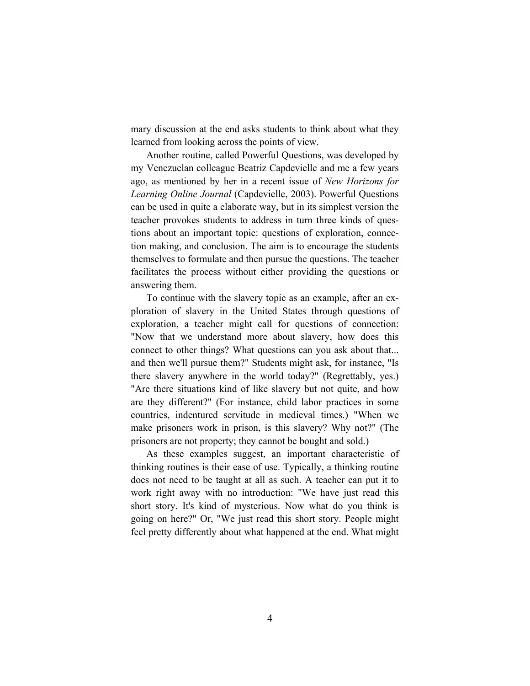mary discussion at the end asks students to think about what they learned from looking across the points of view.

Another routine, called Powerful Questions, was developed by my Venezuelan colleague Beatriz Capdevielle and me a few years ago, as mentioned by her in a recent issue of *New Horizons for Learning Online Journal* (Capdevielle, 2003). Powerful Questions can be used in quite a elaborate way, but in its simplest version the teacher provokes students to address in turn three kinds of questions about an important topic: questions of exploration, connection making, and conclusion. The aim is to encourage the students themselves to formulate and then pursue the questions. The teacher facilitates the process without either providing the questions or answering them.

To continue with the slavery topic as an example, after an exploration of slavery in the United States through questions of exploration, a teacher might call for questions of connection: "Now that we understand more about slavery, how does this connect to other things? What questions can you ask about that... and then we'll pursue them?" Students might ask, for instance, "Is there slavery anywhere in the world today?" (Regrettably, yes.) "Are there situations kind of like slavery but not quite, and how are they different?" (For instance, child labor practices in some countries, indentured servitude in medieval times.) "When we make prisoners work in prison, is this slavery? Why not?" (The prisoners are not property; they cannot be bought and sold.)

As these examples suggest, an important characteristic of thinking routines is their ease of use. Typically, a thinking routine does not need to be taught at all as such. A teacher can put it to work right away with no introduction: "We have just read this short story. It's kind of mysterious. Now what do you think is going on here?" Or, "We just read this short story. People might feel pretty differently about what happened at the end. What might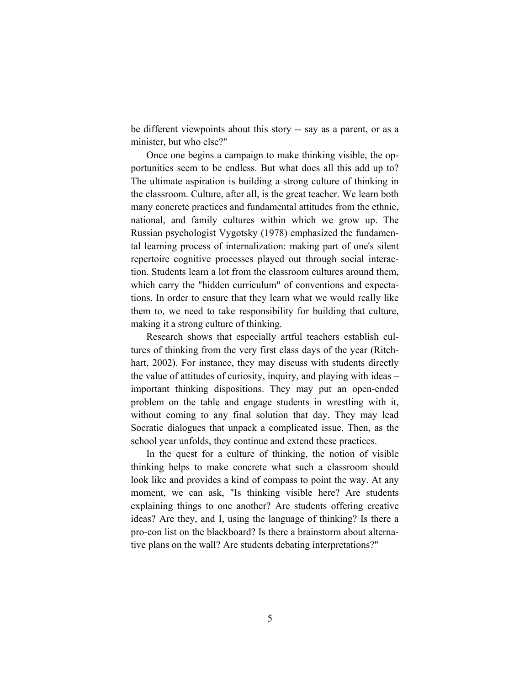be different viewpoints about this story -- say as a parent, or as a minister, but who else?"

Once one begins a campaign to make thinking visible, the opportunities seem to be endless. But what does all this add up to? The ultimate aspiration is building a strong culture of thinking in the classroom. Culture, after all, is the great teacher. We learn both many concrete practices and fundamental attitudes from the ethnic, national, and family cultures within which we grow up. The Russian psychologist Vygotsky (1978) emphasized the fundamental learning process of internalization: making part of one's silent repertoire cognitive processes played out through social interaction. Students learn a lot from the classroom cultures around them, which carry the "hidden curriculum" of conventions and expectations. In order to ensure that they learn what we would really like them to, we need to take responsibility for building that culture, making it a strong culture of thinking.

Research shows that especially artful teachers establish cultures of thinking from the very first class days of the year (Ritchhart, 2002). For instance, they may discuss with students directly the value of attitudes of curiosity, inquiry, and playing with ideas – important thinking dispositions. They may put an open-ended problem on the table and engage students in wrestling with it, without coming to any final solution that day. They may lead Socratic dialogues that unpack a complicated issue. Then, as the school year unfolds, they continue and extend these practices.

In the quest for a culture of thinking, the notion of visible thinking helps to make concrete what such a classroom should look like and provides a kind of compass to point the way. At any moment, we can ask, "Is thinking visible here? Are students explaining things to one another? Are students offering creative ideas? Are they, and I, using the language of thinking? Is there a pro-con list on the blackboard? Is there a brainstorm about alternative plans on the wall? Are students debating interpretations?"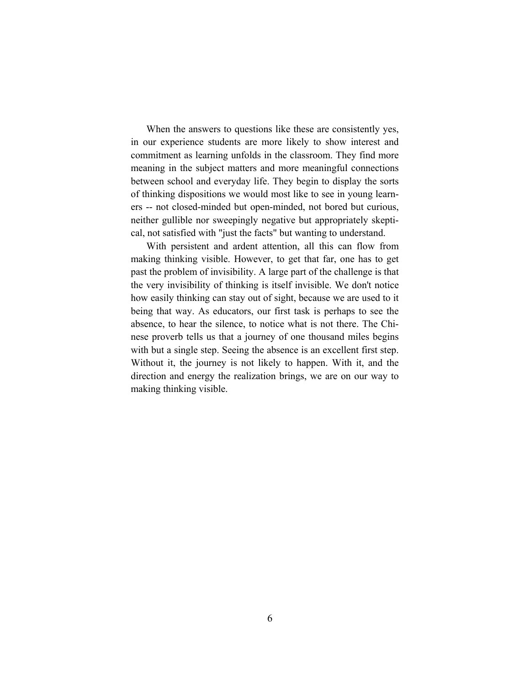When the answers to questions like these are consistently yes, in our experience students are more likely to show interest and commitment as learning unfolds in the classroom. They find more meaning in the subject matters and more meaningful connections between school and everyday life. They begin to display the sorts of thinking dispositions we would most like to see in young learners -- not closed-minded but open-minded, not bored but curious, neither gullible nor sweepingly negative but appropriately skeptical, not satisfied with "just the facts" but wanting to understand.

With persistent and ardent attention, all this can flow from making thinking visible. However, to get that far, one has to get past the problem of invisibility. A large part of the challenge is that the very invisibility of thinking is itself invisible. We don't notice how easily thinking can stay out of sight, because we are used to it being that way. As educators, our first task is perhaps to see the absence, to hear the silence, to notice what is not there. The Chinese proverb tells us that a journey of one thousand miles begins with but a single step. Seeing the absence is an excellent first step. Without it, the journey is not likely to happen. With it, and the direction and energy the realization brings, we are on our way to making thinking visible.